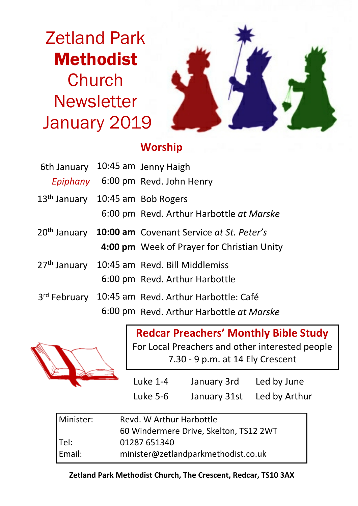Zetland Park Methodist **Church Newsletter** January 2019



# **Worship**

| 6th January 10:45 am Jenny Haigh             |                                                                          |
|----------------------------------------------|--------------------------------------------------------------------------|
|                                              | Epiphany 6:00 pm Revd. John Henry                                        |
| 13 <sup>th</sup> January 10:45 am Bob Rogers |                                                                          |
|                                              | 6:00 pm Revd. Arthur Harbottle at Marske                                 |
|                                              | 20 <sup>th</sup> January <b>10:00 am</b> Covenant Service at St. Peter's |
|                                              | 4:00 pm Week of Prayer for Christian Unity                               |
|                                              | 27th January 10:45 am Revd. Bill Middlemiss                              |
|                                              | 6:00 pm Revd. Arthur Harbottle                                           |
|                                              | 3rd February 10:45 am Revd. Arthur Harbottle: Café                       |
|                                              | 6:00 pm Revd. Arthur Harbottle at Marske                                 |



**Redcar Preachers' Monthly Bible Study** For Local Preachers and other interested people 7.30 - 9 p.m. at 14 Ely Crescent

| <b>Luke 1-4</b> | January 3rd  | Led by June   |
|-----------------|--------------|---------------|
| Luke 5-6        | January 31st | Led by Arthur |

| Minister: | Revd. W Arthur Harbottle               |  |  |
|-----------|----------------------------------------|--|--|
|           | 60 Windermere Drive, Skelton, TS12 2WT |  |  |
| Tel:      | 01287 651340                           |  |  |
| Email:    | minister@zetlandparkmethodist.co.uk    |  |  |

#### **Zetland Park Methodist Church, The Crescent, Redcar, TS10 3AX**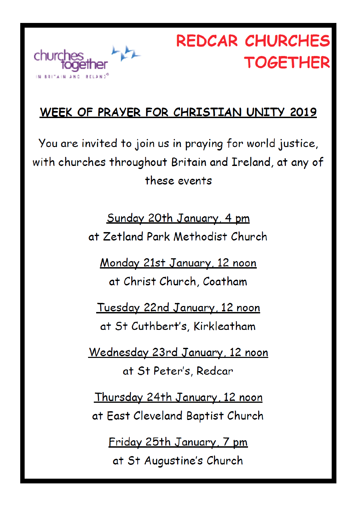

# **REDCAR CHURCHES TOGETHER**

# WEEK OF PRAYER FOR CHRISTIAN UNITY 2019

You are invited to join us in praying for world justice, with churches throughout Britain and Ireland, at any of these events

> Sunday 20th January, 4 pm at Zetland Park Methodist Church

Monday 21st January, 12 noon at Christ Church, Coatham

Tuesday 22nd January, 12 noon at St Cuthbert's, Kirkleatham

Wednesday 23rd January, 12 noon at St Peter's, Redcar

Thursday 24th January, 12 noon at East Cleveland Baptist Church

Friday 25th January, 7 pm at St Augustine's Church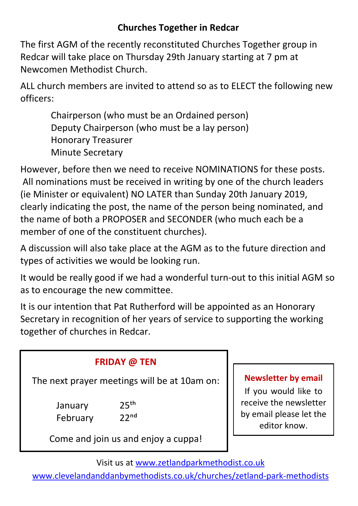## **Churches Together in Redcar**

The first AGM of the recently reconstituted Churches Together group in Redcar will take place on Thursday 29th January starting at 7 pm at Newcomen Methodist Church.

ALL church members are invited to attend so as to ELECT the following new officers:

Chairperson (who must be an Ordained person) Deputy Chairperson (who must be a lay person) Honorary Treasurer Minute Secretary

However, before then we need to receive NOMINATIONS for these posts. All nominations must be received in writing by one of the church leaders (ie Minister or equivalent) NO LATER than Sunday 20th January 2019, clearly indicating the post, the name of the person being nominated, and the name of both a PROPOSER and SECONDER (who much each be a member of one of the constituent churches).

A discussion will also take place at the AGM as to the future direction and types of activities we would be looking run.

It would be really good if we had a wonderful turn-out to this initial AGM so as to encourage the new committee.

It is our intention that Pat Rutherford will be appointed as an Honorary Secretary in recognition of her years of service to supporting the working together of churches in Redcar.

| <b>FRIDAY @ TEN</b>                                                                                         |                                                             |
|-------------------------------------------------------------------------------------------------------------|-------------------------------------------------------------|
| The next prayer meetings will be at 10am on:<br>25 <sup>th</sup><br>January<br>22 <sup>nd</sup><br>February | <b>Newslet</b><br>If you v<br>receive t<br>by email<br>edit |
| Come and join us and enjoy a cuppa!                                                                         |                                                             |

#### **tter by email**

would like to he newsletter please let the or know.

Visit us at www.zetlandparkmethodist.co.uk

www.clevelandanddanbymethodists.co.uk/churches/zetland-park-methodists